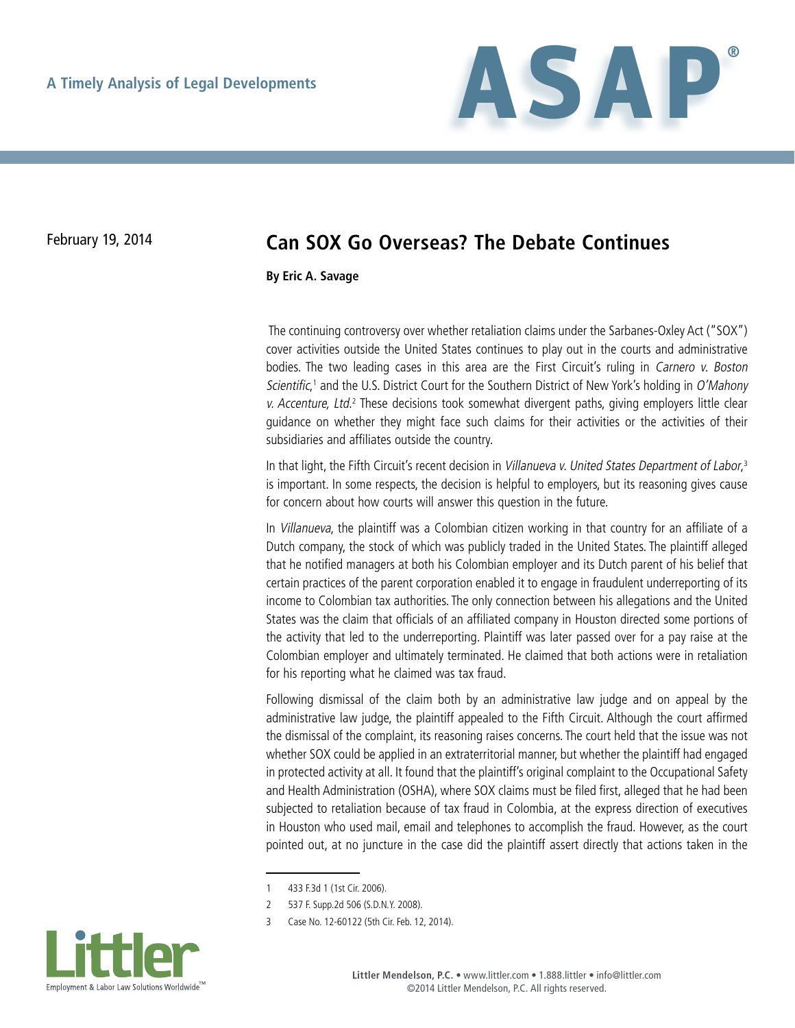

## February 19, 2014 **Can SOX Go Overseas? The Debate Continues**

**By Eric A. Savage**

 The continuing controversy over whether retaliation claims under the Sarbanes-Oxley Act ("SOX") cover activities outside the United States continues to play out in the courts and administrative bodies. The two leading cases in this area are the First Circuit's ruling in Carnero v. Boston Scientific,<sup>1</sup> and the U.S. District Court for the Southern District of New York's holding in O'Mahony v. Accenture, Ltd.<sup>2</sup> These decisions took somewhat divergent paths, giving employers little clear guidance on whether they might face such claims for their activities or the activities of their subsidiaries and affiliates outside the country.

In that light, the Fifth Circuit's recent decision in Villanueva v. United States Department of Labor,<sup>3</sup> is important. In some respects, the decision is helpful to employers, but its reasoning gives cause for concern about how courts will answer this question in the future.

In Villanueva, the plaintiff was a Colombian citizen working in that country for an affiliate of a Dutch company, the stock of which was publicly traded in the United States. The plaintiff alleged that he notified managers at both his Colombian employer and its Dutch parent of his belief that certain practices of the parent corporation enabled it to engage in fraudulent underreporting of its income to Colombian tax authorities. The only connection between his allegations and the United States was the claim that officials of an affiliated company in Houston directed some portions of the activity that led to the underreporting. Plaintiff was later passed over for a pay raise at the Colombian employer and ultimately terminated. He claimed that both actions were in retaliation for his reporting what he claimed was tax fraud.

Following dismissal of the claim both by an administrative law judge and on appeal by the administrative law judge, the plaintiff appealed to the Fifth Circuit. Although the court affirmed the dismissal of the complaint, its reasoning raises concerns. The court held that the issue was not whether SOX could be applied in an extraterritorial manner, but whether the plaintiff had engaged in protected activity at all. It found that the plaintiff's original complaint to the Occupational Safety and Health Administration (OSHA), where SOX claims must be filed first, alleged that he had been subjected to retaliation because of tax fraud in Colombia, at the express direction of executives in Houston who used mail, email and telephones to accomplish the fraud. However, as the court pointed out, at no juncture in the case did the plaintiff assert directly that actions taken in the

<sup>3</sup> Case No. 12-60122 (5th Cir. Feb. 12, 2014).



<sup>1</sup> 433 F.3d 1 (1st Cir. 2006).

<sup>2</sup> 537 F. Supp.2d 506 (S.D.N.Y. 2008).